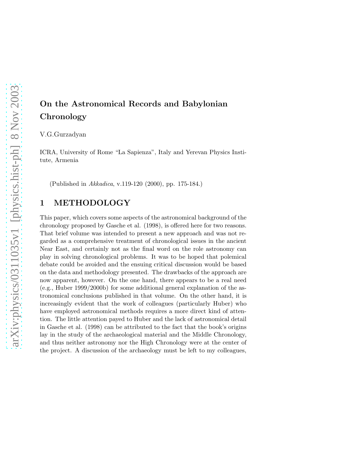# On the Astronomical Records and Babylonian Chronology

V.G.Gurzadyan

ICRA, University of Rome "La Sapienza", Italy and Yerevan Physics Institute, Armenia

(Published in Akkadica, v.119-120 (2000), pp. 175-184.)

# 1 METHODOLOGY

This paper, which covers some aspects of the astronomical background of the chronology proposed by Gasche et al. (1998), is offered here for two reasons. That brief volume was intended to present a new approach and was not regarded as a comprehensive treatment of chronological issues in the ancient Near East, and certainly not as the final word on the role astronomy can play in solving chronological problems. It was to be hoped that polemical debate could be avoided and the ensuing critical discussion would be based on the data and methodology presented. The drawbacks of the approach are now apparent, however. On the one hand, there appears to be a real need (e.g., Huber 1999/2000b) for some additional general explanation of the astronomical conclusions published in that volume. On the other hand, it is increasingly evident that the work of colleagues (particularly Huber) who have employed astronomical methods requires a more direct kind of attention. The little attention payed to Huber and the lack of astronomical detail in Gasche et al. (1998) can be attributed to the fact that the book's origins lay in the study of the archaeological material and the Middle Chronology, and thus neither astronomy nor the High Chronology were at the center of the project. A discussion of the archaeology must be left to my colleagues,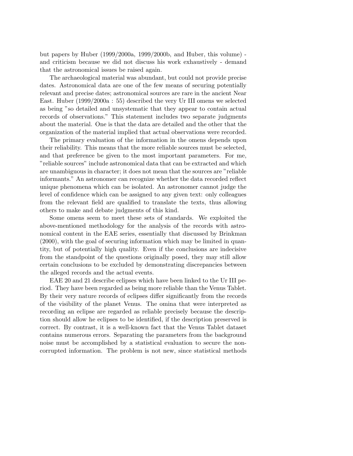but papers by Huber (1999/2000a, 1999/2000b, and Huber, this volume) and criticism because we did not discuss his work exhaustively - demand that the astronomical issues be raised again.

The archaeological material was abundant, but could not provide precise dates. Astronomical data are one of the few means of securing potentially relevant and precise dates; astronomical sources are rare in the ancient Near East. Huber (1999/2000a : 55) described the very Ur III omens we selected as being "so detailed and unsystematic that they appear to contain actual records of observations." This statement includes two separate judgments about the material. One is that the data are detailed and the other that the organization of the material implied that actual observations were recorded.

The primary evaluation of the information in the omens depends upon their reliability. This means that the more reliable sources must be selected, and that preference be given to the most important parameters. For me, "reliable sources" include astronomical data that can be extracted and which are unambiguous in character; it does not mean that the sources are "reliable informants." An astronomer can recognize whether the data recorded reflect unique phenomena which can be isolated. An astronomer cannot judge the level of confidence which can be assigned to any given text: only colleagues from the relevant field are qualified to translate the texts, thus allowing others to make and debate judgments of this kind.

Some omens seem to meet these sets of standards. We exploited the above-mentioned methodology for the analysis of the records with astronomical content in the EAE series, essentially that discussed by Brinkman (2000), with the goal of securing information which may be limited in quantity, but of potentially high quality. Even if the conclusions are indecisive from the standpoint of the questions originally posed, they may still allow certain conclusions to be excluded by demonstrating discrepancies between the alleged records and the actual events.

EAE 20 and 21 describe eclipses which have been linked to the Ur III period. They have been regarded as being more reliable than the Venus Tablet. By their very nature records of eclipses differ significantly from the records of the visibility of the planet Venus. The omina that were interpreted as recording an eclipse are regarded as reliable precisely because the description should allow he eclipses to be identified, if the description preserved is correct. By contrast, it is a well-known fact that the Venus Tablet dataset contains numerous errors. Separating the parameters from the background noise must be accomplished by a statistical evaluation to secure the noncorrupted information. The problem is not new, since statistical methods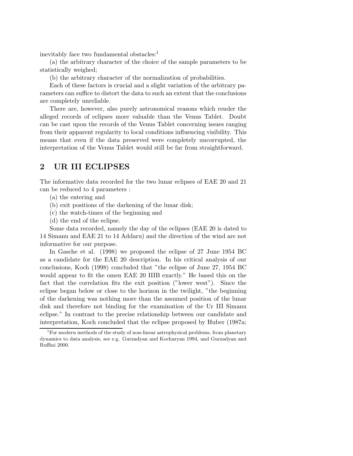inevitably face two fundamental obstacles:<sup>1</sup>

(a) the arbitrary character of the choice of the sample parameters to be statistically weighed;

(b) the arbitrary character of the normalization of probabilities.

Each of these factors is crucial and a slight variation of the arbitrary parameters can suffice to distort the data to such an extent that the conclusions are completely unreliable.

There are, however, also purely astronomical reasons which render the alleged records of eclipses more valuable than the Venus Tablet. Doubt can be cast upon the records of the Venus Tablet concerning issues ranging from their apparent regularity to local conditions influencing visibility. This means that even if the data preserved were completely uncorrupted, the interpretation of the Venus Tablet would still be far from straightforward.

# 2 UR III ECLIPSES

The informative data recorded for the two lunar eclipses of EAE 20 and 21 can be reduced to 4 parameters :

- (a) the entering and
- (b) exit positions of the darkening of the lunar disk;
- (c) the watch-times of the beginning and
- (d) the end of the eclipse.

Some data recorded, namely the day of the eclipses (EAE 20 is dated to 14 Simanu and EAE 21 to 14 Addaru) and the direction of the wind are not informative for our purpose.

In Gasche et al. (1998) we proposed the eclipse of 27 June 1954 BC as a candidate for the EAE 20 description. In his critical analysis of our conclusions, Koch (1998) concluded that "the eclipse of June 27, 1954 BC would appear to fit the omen EAE 20 IIIB exactly." He based this on the fact that the correlation fits the exit position ("lower west"). Since the eclipse began below or close to the horizon in the twilight, "the beginning of the darkening was nothing more than the assumed position of the lunar disk and therefore not binding for the examination of the Ur III Simanu eclipse." In contrast to the precise relationship between our candidate and interpretation, Koch concluded that the eclipse proposed by Huber (1987a;

<sup>&</sup>lt;sup>1</sup>For modern methods of the study of non-linear astrophysical problems, from planetary dynamics to data analysis, see e.g. Gurzadyan and Kocharyan 1994, and Gurzadyan and Ruffini 2000.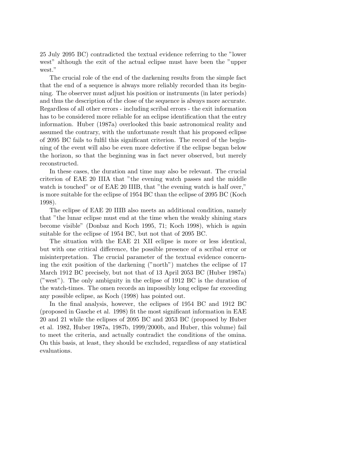25 July 2095 BC) contradicted the textual evidence referring to the "lower west" although the exit of the actual eclipse must have been the "upper west."

The crucial role of the end of the darkening results from the simple fact that the end of a sequence is always more reliably recorded than its beginning. The observer must adjust his position or instruments (in later periods) and thus the description of the close of the sequence is always more accurate. Regardless of all other errors - including scribal errors - the exit information has to be considered more reliable for an eclipse identification that the entry information. Huber (1987a) overlooked this basic astronomical reality and assumed the contrary, with the unfortunate result that his proposed eclipse of 2095 BC fails to fulfil this significant criterion. The record of the beginning of the event will also be even more defective if the eclipse began below the horizon, so that the beginning was in fact never observed, but merely reconstructed.

In these cases, the duration and time may also be relevant. The crucial criterion of EAE 20 IIIA that "the evening watch passes and the middle watch is touched" or of EAE 20 IIIB, that "the evening watch is half over," is more suitable for the eclipse of 1954 BC than the eclipse of 2095 BC (Koch 1998).

The eclipse of EAE 20 IIIB also meets an additional condition, namely that "the lunar eclipse must end at the time when the weakly shining stars become visible" (Donbaz and Koch 1995, 71; Koch 1998), which is again suitable for the eclipse of 1954 BC, but not that of 2095 BC.

The situation with the EAE 21 XII eclipse is more or less identical, but with one critical difference, the possible presence of a scribal error or misinterpretation. The crucial parameter of the textual evidence concerning the exit position of the darkening ("north") matches the eclipse of 17 March 1912 BC precisely, but not that of 13 April 2053 BC (Huber 1987a) ("west"). The only ambiguity in the eclipse of 1912 BC is the duration of the watch-times. The omen records an impossibly long eclipse far exceeding any possible eclipse, as Koch (1998) has pointed out.

In the final analysis, however, the eclipses of 1954 BC and 1912 BC (proposed in Gasche et al. 1998) fit the most significant information in EAE 20 and 21 while the eclipses of 2095 BC and 2053 BC (proposed by Huber et al. 1982, Huber 1987a, 1987b, 1999/2000b, and Huber, this volume) fail to meet the criteria, and actually contradict the conditions of the omina. On this basis, at least, they should be excluded, regardless of any statistical evaluations.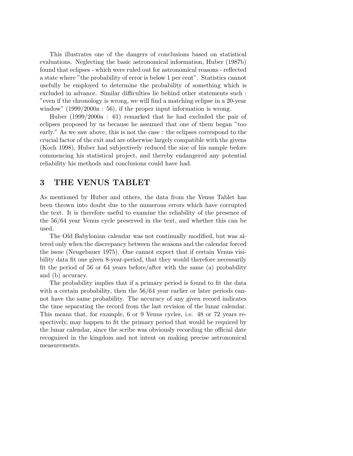This illustrates one of the dangers of conclusions based on statistical evaluations. Neglecting the basic astronomical information, Huber (1987b) found that eclipses - which were ruled out for astronomical reasons - reflected a state where "the probability of error is below 1 per cent". Statistics cannot usefully be employed to determine the probability of something which is excluded in advance. Similar difficulties lie behind other statements such : "even if the chronology is wrong, we will find a matching eclipse in a 20-year window" (1999/2000a : 56), if the proper input information is wrong.

Huber (1999/2000a : 61) remarked that he had excluded the pair of eclipses proposed by us because he assumed that one of them began "too early." As we saw above, this is not the case : the eclipses correspond to the crucial factor of the exit and are otherwise largely compatible with the givens (Koch 1998), Huber had subjectively reduced the size of his sample before commencing his statistical project, and thereby endangered any potential reliability his methods and conclusions could have had.

#### 3 THE VENUS TABLET

As mentioned by Huber and others, the data from the Venus Tablet has been thrown into doubt due to the numerous errors which have corrupted the text. It is therefore useful to examine the reliability of the presence of the 56/64 year Venus cycle preserved in the text, and whether this can be used.

The Old Babylonian calendar was not continually modified, but was altered only when the discrepancy between the seasons and the calendar forced the issue (Neugebauer 1975). One cannot expect that if certain Venus visibility data fit one given 8-year-period, that they would therefore necessarily fit the period of 56 or 64 years before/after with the same (a) probability and (b) accuracy.

The probability implies that if a primary period is found to fit the data with a certain probability, then the  $56/64$  year earlier or later periods cannot have the same probability. The accuracy of any given record indicates the time separating the record from the last revision of the lunar calendar. This means that, for example, 6 or 9 Venus cycles, i.e. 48 or 72 years respectively, may happen to fit the primary period that would be required by the lunar calendar, since the scribe was obviously recording the official date recognized in the kingdom and not intent on making precise astronomical measurements.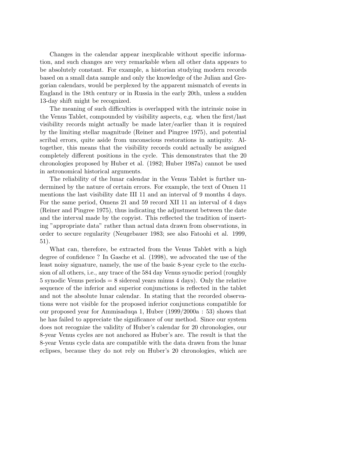Changes in the calendar appear inexplicable without specific information, and such changes are very remarkable when all other data appears to be absolutely constant. For example, a historian studying modern records based on a small data sample and only the knowledge of the Julian and Gregorian calendars, would be perplexed by the apparent mismatch of events in England in the 18th century or in Russia in the early 20th, unless a sudden 13-day shift might be recognized.

The meaning of such difficulties is overlapped with the intrinsic noise in the Venus Tablet, compounded by visibility aspects, e.g. when the first/last visibility records might actually be made later/earlier than it is required by the limiting stellar magnitude (Reiner and Pingree 1975), and potential scribal errors, quite aside from unconscious restorations in antiquity. Altogether, this means that the visibility records could actually be assigned completely different positions in the cycle. This demonstrates that the 20 chronologies proposed by Huber et al. (1982; Huber 1987a) cannot be used in astronomical historical arguments.

The reliability of the lunar calendar in the Venus Tablet is further undermined by the nature of certain errors. For example, the text of Omen 11 mentions the last visibility date III 11 and an interval of 9 months 4 days. For the same period, Omens 21 and 59 record XII 11 an interval of 4 days (Reiner and Pingree 1975), thus indicating the adjustment between the date and the interval made by the copyist. This reflected the tradition of inserting "appropriate data" rather than actual data drawn from observations, in order to secure regularity (Neugebauer 1983; see also Fatoohi et al. 1999, 51).

What can, therefore, be extracted from the Venus Tablet with a high degree of confidence ? In Gasche et al. (1998), we advocated the use of the least noisy signature, namely, the use of the basic 8-year cycle to the exclusion of all others, i.e., any trace of the 584 day Venus synodic period (roughly 5 synodic Venus periods = 8 sidereal years minus 4 days). Only the relative sequence of the inferior and superior conjunctions is reflected in the tablet and not the absolute lunar calendar. In stating that the recorded observations were not visible for the proposed inferior conjunctions compatible for our proposed year for Ammisaduqa 1, Huber (1999/2000a : 53) shows that he has failed to appreciate the significance of our method. Since our system does not recognize the validity of Huber's calendar for 20 chronologies, our 8-year Venus cycles are not anchored as Huber's are. The result is that the 8-year Venus cycle data are compatible with the data drawn from the lunar eclipses, because they do not rely on Huber's 20 chronologies, which are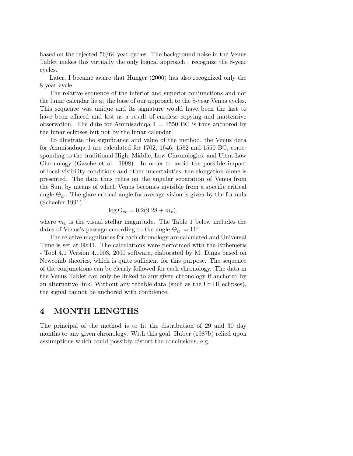based on the rejected 56/64 year cycles. The background noise in the Venus Tablet makes this virtually the only logical approach : recognize the 8-year cycles.

Later, I became aware that Hunger (2000) has also recognized only the 8-year cycle.

The relative sequence of the inferior and superior conjunctions and not the lunar calendar lie at the base of our approach to the 8-year Venus cycles. This sequence was unique and its signature would have been the last to have been effaced and lost as a result of careless copying and inattentive observation. The date for Ammisaduqa  $1 = 1550$  BC is thus anchored by the lunar eclipses but not by the lunar calendar.

To illustrate the significance and value of the method, the Venus data for Ammisaduqa 1 are calculated for 1702, 1646, 1582 and 1550 BC, corresponding to the traditional High, Middle, Low Chronologies, and Ultra-Low Chronology (Gasche et al. 1998). In order to avoid the possible impact of local visibility conditions and other uncertainties, the elongation alone is presented. The data thus relies on the angular separation of Venus from the Sun, by means of which Venus becomes invisible from a specific critical angle  $\Theta_{cr}$ . The glare critical angle for average vision is given by the formula (Schaefer 1991) :

$$
\log \Theta_{cr} = 0.2(9.28 + m_v),
$$

where  $m_v$  is the visual stellar magnitude. The Table 1 below includes the dates of Venus's passage according to the angle  $\Theta_{cr} = 11^{\circ}$ .

The relative magnitudes for each chronology are calculated and Universal Time is set at 00:41. The calculations were performed with the Ephemeris - Tool 4.1 Version 4.1003, 2000 software, elaborated by M. Dings based on Newcomb theories, which is quite sufficient for this purpose. The sequence of the conjunctions can be clearly followed for each chronology. The data in the Venus Tablet can only be linked to any given chronology if anchored by an alternative link. Without any reliable data (such as the Ur III eclipses), the signal cannot be anchored with confidence.

### 4 MONTH LENGTHS

The principal of the method is to fit the distribution of 29 and 30 day months to any given chronology. With this goal, Huber (1987b) relied upon assumptions which could possibly distort the conclusions, e.g.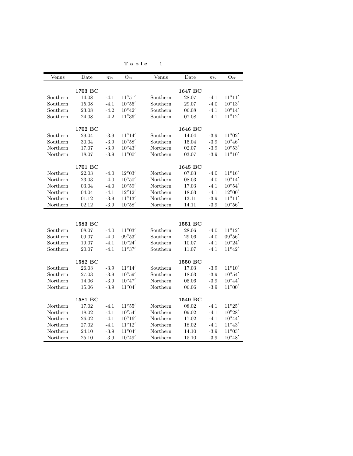| Venus    | Date    | $m_{\rm v}$ | $\Theta_\mathrm{cr}$ | Venus    | Date    | $m_{\rm v}$ | $\Theta_{\rm cr}$ |
|----------|---------|-------------|----------------------|----------|---------|-------------|-------------------|
|          |         |             |                      |          |         |             |                   |
|          | 1703 BC |             |                      |          | 1647 BC |             |                   |
| Southern | 14.08   | $-4.1$      | $11^{\circ}51'$      | Southern | 28.07   | $-4.1$      | $11^o11'$         |
| Southern | 15.08   | $-4.1$      | $10^{\circ}55'$      | Southern | 29.07   | $-4.0$      | $10^o13^\prime$   |
| Southern | 23.08   | $-4.2$      | $10^{\circ}42'$      | Southern | 06.08   | $-4.1$      | $10^o14^\prime$   |
| Southern | 24.08   | $-4.2$      | $11^o36'$            | Southern | 07.08   | $-4.1$      | $11^o 12^\prime$  |
|          |         |             |                      |          |         |             |                   |
|          | 1702 BC |             |                      |          | 1646 BC |             |                   |
| Southern | 29.04   | $-3.9$      | $11^{\circ}14'$      | Southern | 14.04   | $-3.9$      | $11^{\circ}02'$   |
| Southern | 30.04   | $-3.9$      | $10^o 58'$           | Southern | 15.04   | $-3.9$      | $10^{\circ}46'$   |
| Northern | 17.07   | $-3.9$      | $10^o43^\prime$      | Northern | 02.07   | $-3.9$      | $10^o53^\prime$   |
| Northern | 18.07   | $-3.9$      | $11^{\circ}00'$      | Northern | 03.07   | $-3.9$      | $11^{\circ}10'$   |
|          | 1701 BC |             |                      |          | 1645 BC |             |                   |
| Northern | 22.03   | $-4.0$      | $12^{\circ}03'$      | Northern | 07.03   | $-4.0$      | $11^{\circ}16'$   |
| Northern | 23.03   | $-4.0$      | $10^{\circ}50'$      | Northern | 08.03   | $-4.0$      | $10^{\circ}14'$   |
| Northern | 03.04   | $-4.0$      | $10^{\circ}59'$      | Northern | 17.03   | $-4.1$      | $10^o 54'$        |
| Northern | 04.04   | $-4.1$      | $12^{\circ}12'$      | Northern | 18.03   | $-4.1$      | $12^{\circ}00'$   |
| Northern | 01.12   | $-3.9$      | $11^{\circ}13'$      | Northern | 13.11   | $-3.9$      | $11^o11'$         |
| Northern | 02.12   | $-3.9$      | $10^{\circ}58'$      | Northern | 14.11   | $-3.9$      | $10^o 56'$        |
|          |         |             |                      |          |         |             |                   |
|          |         |             |                      |          |         |             |                   |
|          | 1583 BC |             |                      |          | 1551 BC |             |                   |
| Southern | 08.07   | $-4.0$      | $11^o03'$            | Southern | 28.06   | $-4.0$      | $11^o 12^\prime$  |
| Southern | 09.07   | $-4.0$      | $09^o53'$            | Southern | 29.06   | $-4.0$      | $09^o 56'$        |
| Southern | 19.07   | $-4.1$      | $10^o24^\prime$      | Southern | 10.07   | $-4.1$      | $10^o24^\prime$   |
| Southern | 20.07   | $-4.1$      | $11^o37^\prime$      | Southern | 11.07   | $-4.1$      | $11^{\circ}42'$   |
|          |         |             |                      |          |         |             |                   |
|          | 1582 BC |             |                      |          | 1550 BC |             |                   |
| Southern | 26.03   | $-3.9$      | $11^o14^\prime$      | Southern | 17.03   | $-3.9$      | $11^o 10'$        |
| Southern | 27.03   | $-3.9$      | $10^{\circ}59'$      | Southern | 18.03   | $-3.9$      | $10^{\circ}54'$   |
| Northern | 14.06   | $-3.9$      | $10^o 47'$           | Northern | 05.06   | $-3.9$      | $10^o44'$         |
| Northern | 15.06   | $-3.9$      | $11^{\circ}04'$      | Northern | 06.06   | $-3.9$      | $11^{\circ}00'$   |
|          | 1581 BC |             |                      |          | 1549 BC |             |                   |
| Northern | 17.02   | $-4.1$      | $11^o 55'$           | Northern | 08.02   | $-4.1$      | $11^o25^\prime$   |
| Northern | 18.02   | $-4.1$      | $10^o 54'$           | Northern | 09.02   | $-4.1$      | $10^o28^\prime$   |
| Northern | 26.02   | $-4.1$      | $10^o 16'$           | Northern | 17.02   | $-4.1$      | $10^o44'$         |
| Northern | 27.02   | $-4.1$      | $11^{\circ}12'$      | Northern | 18.02   | $-4.1$      | $11^{\circ}43'$   |
| Northern | 24.10   | $-3.9$      | $11^{\circ}04'$      | Northern | 14.10   | $-3.9$      | $11^{\circ}03'$   |
| Northern | 25.10   | $-3.9$      | $10^{o}49'$          | Northern | 15.10   | $-3.9$      | $10^o 48'$        |
|          |         |             |                      |          |         |             |                   |

 $T$  a b l e  $1$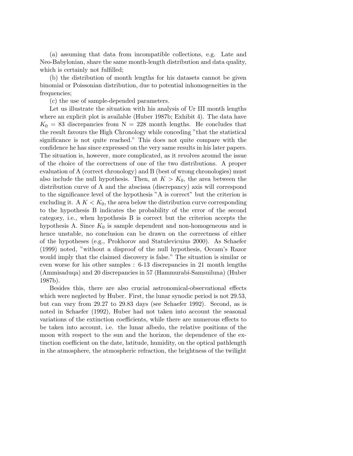(a) assuming that data from incompatible collections, e.g. Late and Neo-Babylonian, share the same month-length distribution and data quality, which is certainly not fulfilled;

(b) the distribution of month lengths for his datasets cannot be given binomial or Poissonian distribution, due to potential inhomogeneities in the frequencies;

(c) the use of sample-depended parameters.

Let us illustrate the situation with his analysis of Ur III month lengths where an explicit plot is available (Huber 1987b; Exhibit 4). The data have  $K_0 = 83$  discrepancies from  $N = 228$  month lengths. He concludes that the result favours the High Chronology while conceding "that the statistical significance is not quite reached." This does not quite compare with the confidence he has since expressed on the very same results in his later papers. The situation is, however, more complicated, as it revolves around the issue of the choice of the correctness of one of the two distributions. A proper evaluation of A (correct chronology) and B (best of wrong chronologies) must also include the null hypothesis. Then, at  $K > K_0$ , the area between the distribution curve of A and the abscissa (discrepancy) axis will correspond to the significance level of the hypothesis "A is correct" but the criterion is excluding it. A  $K < K_0$ , the area below the distribution curve corresponding to the hypothesis B indicates the probability of the error of the second category, i.e., when hypothesis B is correct but the criterion accepts the hypothesis A. Since  $K_0$  is sample dependent and non-homogeneous and is hence unstable, no conclusion can be drawn on the correctness of either of the hypotheses (e.g., Prokhorov and Statulevicuius 2000). As Schaefer (1999) noted, "without a disproof of the null hypothesis, Occam's Razor would imply that the claimed discovery is false." The situation is similar or even worse for his other samples : 6-13 discrepancies in 21 month lengths (Ammisaduqa) and 20 discrepancies in 57 (Hammurabi-Samsuiluna) (Huber 1987b).

Besides this, there are also crucial astronomical-observational effects which were neglected by Huber. First, the lunar synodic period is not 29.53, but can vary from 29.27 to 29.83 days (see Schaefer 1992). Second, as is noted in Schaefer (1992), Huber had not taken into account the seasonal variations of the extinction coefficients, while there are numerous effects to be taken into account, i.e. the lunar albedo, the relative positions of the moon with respect to the sun and the horizon, the dependence of the extinction coefficient on the date, latitude, humidity, on the optical pathlength in the atmosphere, the atmospheric refraction, the brightness of the twilight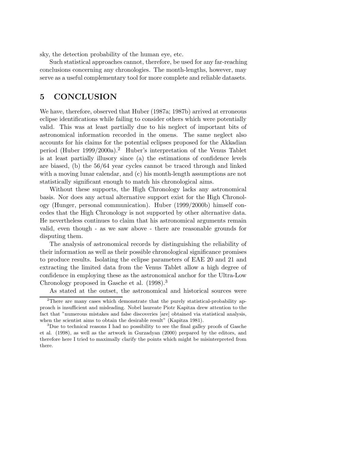sky, the detection probability of the human eye, etc.

Such statistical approaches cannot, therefore, be used for any far-reaching conclusions concerning any chronologies. The month-lengths, however, may serve as a useful complementary tool for more complete and reliable datasets.

## 5 CONCLUSION

We have, therefore, observed that Huber (1987a; 1987b) arrived at erroneous eclipse identifications while failing to consider others which were potentially valid. This was at least partially due to his neglect of important bits of astronomical information recorded in the omens. The same neglect also accounts for his claims for the potential eclipses proposed for the Akkadian period (Huber 1999/2000a).<sup>2</sup> Huber's interpretation of the Venus Tablet is at least partially illusory since (a) the estimations of confidence levels are biased, (b) the 56/64 year cycles cannot be traced through and linked with a moving lunar calendar, and (c) his month-length assumptions are not statistically significant enough to match his chronological aims.

Without these supports, the High Chronology lacks any astronomical basis. Nor does any actual alternative support exist for the High Chronology (Hunger, personal communication). Huber (1999/2000b) himself concedes that the High Chronology is not supported by other alternative data. He nevertheless continues to claim that his astronomical arguments remain valid, even though - as we saw above - there are reasonable grounds for disputing them.

The analysis of astronomical records by distinguishing the reliability of their information as well as their possible chronological significance promises to produce results. Isolating the eclipse parameters of EAE 20 and 21 and extracting the limited data from the Venus Tablet allow a high degree of confidence in employing these as the astronomical anchor for the Ultra-Low Chronology proposed in Gasche et al. (1998).<sup>3</sup>

As stated at the outset, the astronomical and historical sources were

<sup>&</sup>lt;sup>2</sup>There are many cases which demonstrate that the purely statistical-probability approach is insufficient and misleading. Nobel laureate Piotr Kapitza drew attention to the fact that "numerous mistakes and false discoveries [are] obtained via statistical analysis, when the scientist aims to obtain the desirable result" (Kapitza 1981).

<sup>&</sup>lt;sup>3</sup>Due to technical reasons I had no possibility to see the final galley proofs of Gasche et al. (1998), as well as the artwork in Gurzadyan (2000) prepared by the editors, and therefore here I tried to maximally clarify the points which might be misinterpreted from there.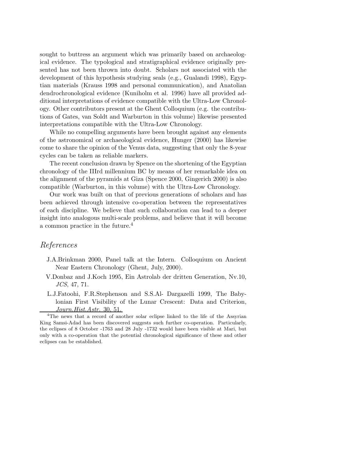sought to buttress an argument which was primarily based on archaeological evidence. The typological and stratigraphical evidence originally presented has not been thrown into doubt. Scholars not associated with the development of this hypothesis studying seals (e.g., Gualandi 1998), Egyptian materials (Krauss 1998 and personal communication), and Anatolian dendrochronological evidence (Kuniholm et al. 1996) have all provided additional interpretations of evidence compatible with the Ultra-Low Chronology. Other contributors present at the Ghent Colloquium (e.g. the contributions of Gates, van Soldt and Warburton in this volume) likewise presented interpretations compatible with the Ultra-Low Chronology.

While no compelling arguments have been brought against any elements of the astronomical or archaeological evidence, Hunger (2000) has likewise come to share the opinion of the Venus data, suggesting that only the 8-year cycles can be taken as reliable markers.

The recent conclusion drawn by Spence on the shortening of the Egyptian chronology of the IIIrd millennium BC by means of her remarkable idea on the alignment of the pyramids at Giza (Spence 2000, Gingerich 2000) is also compatible (Warburton, in this volume) with the Ultra-Low Chronology.

Our work was built on that of previous generations of scholars and has been achieved through intensive co-operation between the representatives of each discipline. We believe that such collaboration can lead to a deeper insight into analogous multi-scale problems, and believe that it will become a common practice in the future.<sup>4</sup>

#### References

- J.A.Brinkman 2000, Panel talk at the Intern. Colloquium on Ancient Near Eastern Chronology (Ghent, July, 2000).
- V.Donbaz and J.Koch 1995, Ein Astrolab der dritten Generation, Nv.10, JCS, 47, 71.
- L.J.Fatoohi, F.R.Stephenson and S.S.Al- Dargazelli 1999, The Babylonian First Visibility of the Lunar Crescent: Data and Criterion, Journ.Hist.Astr. 30, 51.

<sup>4</sup>The news that a record of another solar eclipse linked to the life of the Assyrian King Samsi-Adad has been discovered suggests such further co-operation. Particularly, the eclipses of 8 October -1763 and 28 July -1732 would have been visible at Mari, but only with a co-operation that the potential chronological significance of these and other eclipses can be established.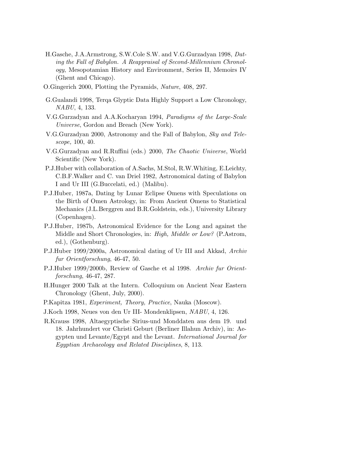- H.Gasche, J.A.Armstrong, S.W.Cole S.W. and V.G.Gurzadyan 1998, Dating the Fall of Babylon. A Reappraisal of Second-Millennium Chronology, Mesopotamian History and Environment, Series II, Memoirs IV (Ghent and Chicago).
- O.Gingerich 2000, Plotting the Pyramids, Nature, 408, 297.
- G.Gualandi 1998, Terqa Glyptic Data Highly Support a Low Chronology, NABU, 4, 133.
- V.G.Gurzadyan and A.A.Kocharyan 1994, Paradigms of the Large-Scale Universe, Gordon and Breach (New York).
- V.G.Gurzadyan 2000, Astronomy and the Fall of Babylon, Sky and Telescope, 100, 40.
- V.G.Gurzadyan and R.Ruffini (eds.) 2000, The Chaotic Universe, World Scientific (New York).
- P.J.Huber with collaboration of A.Sachs, M.Stol, R.W.Whiting, E.Leichty, C.B.F.Walker and C. van Driel 1982, Astronomical dating of Babylon I and Ur III (G.Buccelati, ed.) (Malibu).
- P.J.Huber, 1987a, Dating by Lunar Eclipse Omens with Speculations on the Birth of Omen Astrology, in: From Ancient Omens to Statistical Mechanics (J.L.Berggren and B.R.Goldstein, eds.), University Library (Copenhagen).
- P.J.Huber, 1987b, Astronomical Evidence for the Long and against the Middle and Short Chronologies, in: High, Middle or Low? (P.Astrom, ed.), (Gothenburg).
- P.J.Huber 1999/2000a, Astronomical dating of Ur III and Akkad, Archiv fur Orientforschung, 46-47, 50.
- P.J.Huber 1999/2000b, Review of Gasche et al 1998. Archiv fur Orientforschung, 46-47, 287.
- H.Hunger 2000 Talk at the Intern. Colloquium on Ancient Near Eastern Chronology (Ghent, July, 2000).
- P.Kapitza 1981, Experiment, Theory, Practice, Nauka (Moscow).
- J.Koch 1998, Neues von den Ur III- Mondenklipsen, NABU, 4, 126.
- R.Krauss 1998, Altaegyptische Sirius-und Monddaten aus dem 19. und 18. Jahrhundert vor Christi Geburt (Berliner Illahun Archiv), in: Aegypten und Levante/Egypt and the Levant. International Journal for Egyptian Archaeology and Related Disciplines, 8, 113.